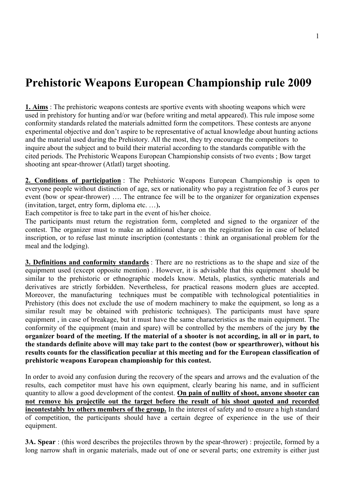## **Prehistoric Weapons European Championship rule 2009**

**1. Aims** : The prehistoric weapons contests are sportive events with shooting weapons which were used in prehistory for hunting and/or war (before writing and metal appeared). This rule impose some conformity standards related the materials admitted form the competitors. These contests are anyone experimental objective and don't aspire to be representative of actual knowledge about hunting actions and the material used during the Prehistory. All the most, they try encourage the competitors to inquire about the subject and to build their material according to the standards compatible with the cited periods. The Prehistoric Weapons European Championship consists of two events ; Bow target shooting ant spear-thrower (Atlatl) target shooting.

**2. Conditions of participation** : The Prehistoric Weapons European Championship is open to everyone people without distinction of age, sex or nationality who pay a registration fee of 3 euros per event (bow or spear-thrower) …. The entrance fee will be to the organizer for organization expenses (invitation, target, entry form, diploma etc. …)**.** 

Each competitor is free to take part in the event of his/her choice.

The participants must return the registration form, completed and signed to the organizer of the contest. The organizer must to make an additional charge on the registration fee in case of belated inscription, or to refuse last minute inscription (contestants : think an organisational problem for the meal and the lodging).

**3. Definitions and conformity standards** : There are no restrictions as to the shape and size of the equipment used (except opposite mention) . However, it is advisable that this equipment should be similar to the prehistoric or ethnographic models know. Metals, plastics, synthetic materials and derivatives are strictly forbidden. Nevertheless, for practical reasons modern glues are accepted. Moreover, the manufacturing techniques must be compatible with technological potentialities in Prehistory (this does not exclude the use of modern machinery to make the equipment, so long as a similar result may be obtained with prehistoric techniques). The participants must have spare equipment , in case of breakage, but it must have the same characteristics as the main equipment. The conformity of the equipment (main and spare) will be controlled by the members of the jury **by the organizer board of the meeting. If the material of a shooter is not according, in all or in part, to the standards definite above will may take part to the contest (bow or spearthrower), without his results counts for the classification peculiar at this meeting and for the European classification of prehistoric weapons European championship for this contest.**

In order to avoid any confusion during the recovery of the spears and arrows and the evaluation of the results, each competitor must have his own equipment, clearly bearing his name, and in sufficient quantity to allow a good development of the contest. **On pain of nullity of shoot, anyone shooter can not remove his projectile out the target before the result of his shoot quoted and recorded incontestably by others members of the group.** In the interest of safety and to ensure a high standard of competition, the participants should have a certain degree of experience in the use of their equipment.

**3A. Spear** : (this word describes the projectiles thrown by the spear-thrower) : projectile, formed by a long narrow shaft in organic materials, made out of one or several parts; one extremity is either just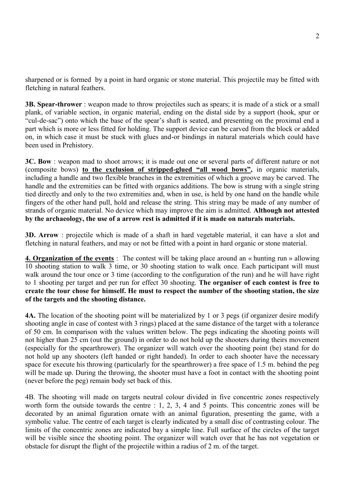sharpened or is formed by a point in hard organic or stone material. This projectile may be fitted with fletching in natural feathers.

**3B. Spear-thrower** : weapon made to throw projectiles such as spears; it is made of a stick or a small plank, of variable section, in organic material, ending on the distal side by a support (hook, spur or "cul-de-sac") onto which the base of the spear's shaft is seated, and presenting on the proximal end a part which is more or less fitted for holding. The support device can be carved from the block or added on, in which case it must be stuck with glues and-or bindings in natural materials which could have been used in Prehistory.

**3C. Bow** : weapon mad to shoot arrows; it is made out one or several parts of different nature or not (composite bows) **to the exclusion of stripped-glued "all wood bows",** in organic materials, including a handle and two flexible branches in the extremities of which a groove may be carved. The handle and the extremities can be fitted with organics additions. The bow is strung with a single string tied directly and only to the two extremities and, when in use, is held by one hand on the handle while fingers of the other hand pull, hold and release the string. This string may be made of any number of strands of organic material. No device which may improve the aim is admitted. **Although not attested by the archaeology, the use of a arrow rest is admitted if it is made on naturals materials.**

**3D. Arrow** : projectile which is made of a shaft in hard vegetable material, it can have a slot and fletching in natural feathers, and may or not be fitted with a point in hard organic or stone material.

**4. Organization of the events** : The contest will be taking place around an « hunting run » allowing 10 shooting station to walk 3 time, or 30 shooting station to walk once. Each participant will must walk around the tour once or 3 time (according to the configuration of the run) and he will have right to 1 shooting per target and per run for effect 30 shooting. **The organiser of each contest is free to create the tour chose for himself. He must to respect the number of the shooting station, the size of the targets and the shooting distance.**

**4A.** The location of the shooting point will be materialized by 1 or 3 pegs (if organizer desire modify shooting angle in case of contest with 3 rings) placed at the same distance of the target with a tolerance of 50 cm. In comparison with the values written below. The pegs indicating the shooting points will not higher than 25 cm (out the ground) in order to do not hold up the shooters during theirs movement (especially for the spearthrower). The organizer will watch over the shooting point (be) stand for do not hold up any shooters (left handed or right handed). In order to each shooter have the necessary space for execute his throwing (particularly for the spearthrower) a free space of 1.5 m. behind the peg will be made up. During the throwing, the shooter must have a foot in contact with the shooting point (never before the peg) remain body set back of this.

4B. The shooting will made on targets neutral colour divided in five concentric zones respectively worth form the outside towards the centre : 1, 2, 3, 4 and 5 points. This concentric zones will be decorated by an animal figuration ornate with an animal figuration, presenting the game, with a symbolic value. The centre of each target is clearly indicated by a small disc of contrasting colour. The limits of the concentric zones are indicated bay a simple line. Full surface of the circles of the target will be visible since the shooting point. The organizer will watch over that he has not vegetation or obstacle for disrupt the flight of the projectile within a radius of 2 m. of the target.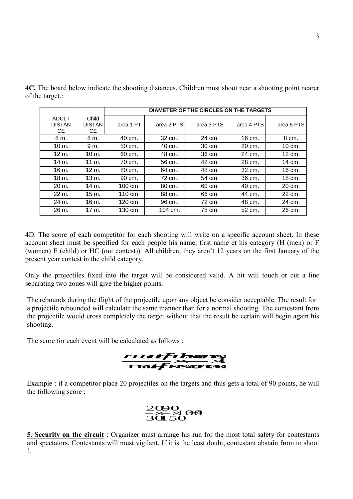|                                      |                               | <b>DIAMETER OF THE CIRCLES ON THE TARGETS</b> |            |            |            |            |
|--------------------------------------|-------------------------------|-----------------------------------------------|------------|------------|------------|------------|
| <b>ADULT</b><br><b>DISTAN</b><br>CE. | Child<br><b>DISTAN</b><br>CЕ. | area 1 PT                                     | area 2 PTS | area 3 PTS | area 4 PTS | area 5 PTS |
| 8 m.                                 | 8 m.                          | 40 cm.                                        | 32 cm.     | 24 cm.     | 16 cm.     | 8 cm.      |
| $10 \text{ m}$ .                     | 9 m.                          | 50 cm.                                        | 40 cm.     | 30 cm.     | 20 cm.     | 10 cm.     |
| $12 \text{ m}$ .                     | 10 m.                         | 60 cm.                                        | 48 cm.     | 36 cm.     | 24 cm.     | 12 cm.     |
| 14 m.                                | 11 m.                         | 70 cm.                                        | 56 cm.     | 42 cm.     | 28 cm.     | 14 cm.     |
| 16 m.                                | 12 m.                         | 80 cm.                                        | 64 cm.     | 48 cm.     | 32 cm.     | 16 cm.     |
| $18m$ .                              | $13 \text{ m}$ .              | 90 cm.                                        | 72 cm.     | 54 cm.     | 36 cm.     | 18 cm.     |
| 20 m.                                | 14 m.                         | $100 \, \text{cm}$ .                          | 80 cm.     | 60 cm.     | 40 cm.     | 20 cm.     |
| 22 m.                                | 15 m.                         | $110 \text{ cm}$ .                            | 88 cm.     | 66 cm.     | 44 cm.     | 22 cm.     |
| 24 m.                                | 16 m.                         | 120 cm.                                       | 96 cm.     | 72 cm.     | 48 cm.     | 24 cm.     |
| 26 m.                                | 17 m.                         | 130 cm.                                       | 104 cm.    | 78 cm.     | 52 cm.     | 26 cm.     |

**4C.** The board below indicate the shooting distances. Children must shoot near a shooting point nearer of the target.:

4D. The score of each competitor for each shooting will write on a specific account sheet. In these account sheet must be specified for each people his name, first name et his category (H (men) or F (women) E (child) or HC (out contest)). All children, they aren't 12 years on the first January of the present year contest in the child category.

Only the projectiles fixed into the target will be considered valid. A hit will touch or cut a line separating two zones will give the higher points.

The rebounds during the flight of the projectile upon any object be consider acceptable. The result for a projectile rebounded will calculate the same manner than for a normal shooting. The contestant from the projectile would cross completely the target without that the result be certain will begin again his shooting.

The score for each event will be calculated as follows :



Example : if a competitor place 20 projectiles on the targets and thus gets a total of 90 points, he will the following score :



**5. Security on the circuit** : Organizer must arrange his run for the most total safety for contestants and spectators. Contestants will must vigilant. If it is the least doubt, contestant abstain from to shoot !.